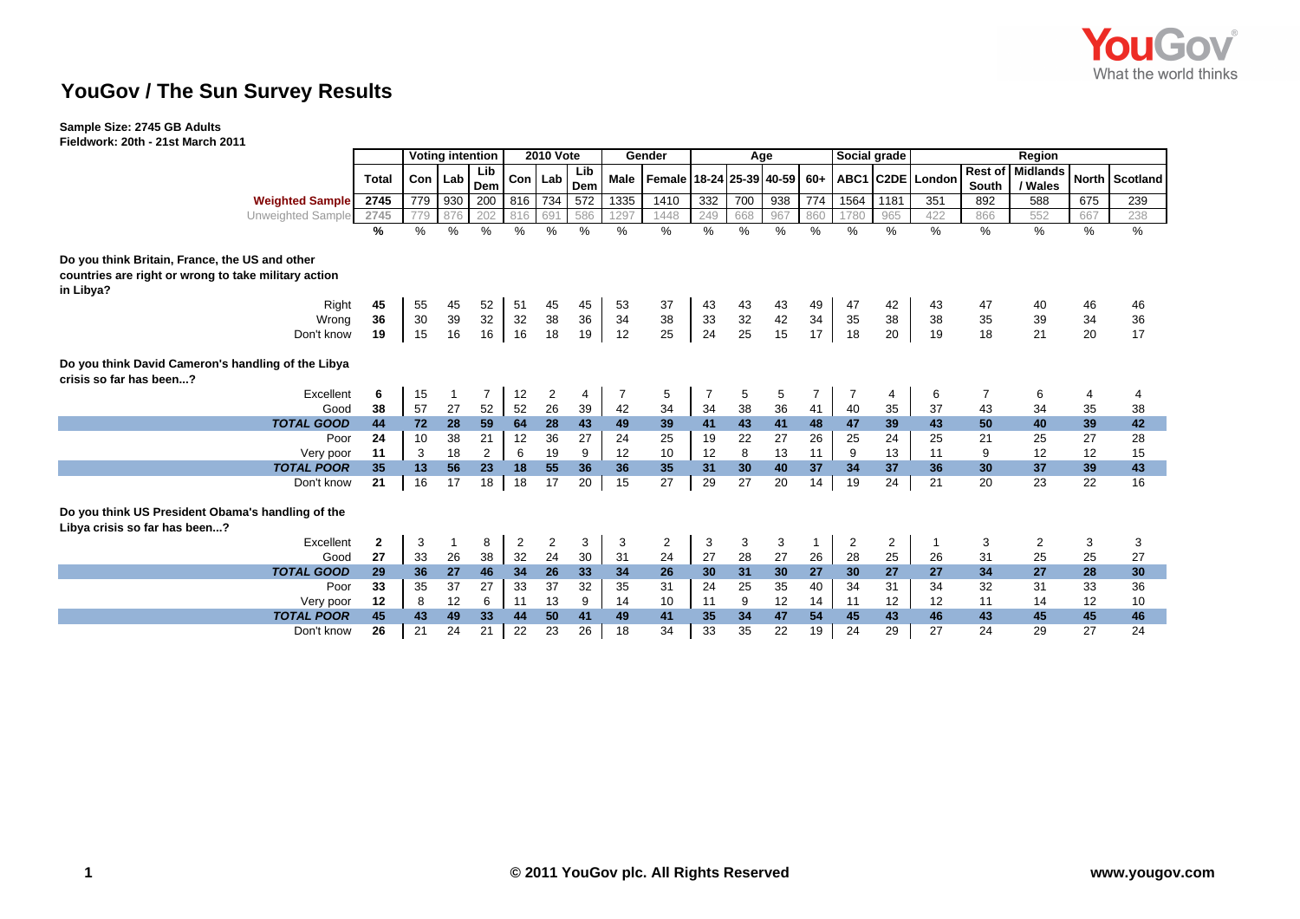

## **YouGov / The Sun Survey Results**

## **Sample Size: 2745 GB Adults**

**Fieldwork: 20th - 21st March 2011**

|                                                                                    |              | <b>Voting intention</b> |      |                | <b>2010 Vote</b> |                |               |      | Gender                   |     |      | Age |                | Social grade   |                | Region           |         |                 |     |                |  |  |
|------------------------------------------------------------------------------------|--------------|-------------------------|------|----------------|------------------|----------------|---------------|------|--------------------------|-----|------|-----|----------------|----------------|----------------|------------------|---------|-----------------|-----|----------------|--|--|
|                                                                                    | <b>Total</b> | Con                     | Lab  | Lib            | Con Lab          |                | Lib           | Male | Female 18-24 25-39 40-59 |     |      |     | $60+$          |                |                | ABC1 C2DE London | Rest of | <b>Midlands</b> |     | North Scotland |  |  |
|                                                                                    |              |                         |      | Dem            |                  |                | Dem           |      |                          |     |      |     |                |                |                |                  | South   | / Wales         |     |                |  |  |
| <b>Weighted Sample</b>                                                             | 2745         | 779                     | 930  | 200            | 816              | 734            | 572           | 1335 | 1410                     | 332 | 700  | 938 | 774            | 1564           | 1181           | 351              | 892     | 588             | 675 | 239            |  |  |
| Unweighted Sample                                                                  | 2745         | 779                     | 876  | 202            | 816              | 691            | 586           | 1297 | 1448                     | 249 | 668  | 967 | 860            | 1780           | 965            | 422              | 866     | 552             | 667 | 238            |  |  |
|                                                                                    | %            | $\frac{0}{0}$           | $\%$ | %              | %                | $\frac{0}{0}$  | $\frac{0}{0}$ | %    | %                        | %   | $\%$ | %   | $\frac{0}{0}$  | $\%$           | $\%$           | $\%$             | $\%$    | %               | %   | %              |  |  |
| Do you think Britain, France, the US and other                                     |              |                         |      |                |                  |                |               |      |                          |     |      |     |                |                |                |                  |         |                 |     |                |  |  |
| countries are right or wrong to take military action                               |              |                         |      |                |                  |                |               |      |                          |     |      |     |                |                |                |                  |         |                 |     |                |  |  |
| in Libya?                                                                          |              |                         |      |                |                  |                |               |      |                          |     |      |     |                |                |                |                  |         |                 |     |                |  |  |
| Right                                                                              | 45           | 55                      | 45   | 52             | 51               | 45             | 45            | 53   | 37                       | 43  | 43   | 43  | 49             | 47             | 42             | 43               | 47      | 40              | 46  | 46             |  |  |
| Wrong                                                                              | 36           | 30                      | 39   | 32             | 32               | 38             | 36            | 34   | 38                       | 33  | 32   | 42  | 34             | 35             | 38             | 38               | 35      | 39              | 34  | 36             |  |  |
| Don't know                                                                         | 19           | 15                      | 16   | 16             | 16               | 18             | 19            | 12   | 25                       | 24  | 25   | 15  | 17             | 18             | 20             | 19               | 18      | 21              | 20  | 17             |  |  |
| Do you think David Cameron's handling of the Libya<br>crisis so far has been?      |              |                         |      |                |                  |                |               |      |                          |     |      |     |                |                |                |                  |         |                 |     |                |  |  |
| Excellent                                                                          | 6            | 15                      | -1   | 7              | 12               | $\overline{2}$ | 4             | 7    | 5                        |     | 5    | 5   | $\overline{7}$ |                | 4              | 6                | 7       | 6               | 4   |                |  |  |
| Good                                                                               | 38           | 57                      | 27   | 52             | 52               | 26             | 39            | 42   | 34                       | 34  | 38   | 36  | 41             | 40             | 35             | 37               | 43      | 34              | 35  | 38             |  |  |
| <b>TOTAL GOOD</b>                                                                  | 44           | 72                      | 28   | 59             | 64               | 28             | 43            | 49   | 39                       | 41  | 43   | 41  | 48             | 47             | 39             | 43               | 50      | 40              | 39  | 42             |  |  |
| Poor                                                                               | 24           | 10                      | 38   | 21             | 12               | 36             | 27            | 24   | 25                       | 19  | 22   | 27  | 26             | 25             | 24             | 25               | 21      | 25              | 27  | 28             |  |  |
| Very poor                                                                          | 11           | 3                       | 18   | $\overline{2}$ | 6                | 19             | 9             | 12   | 10                       | 12  | 8    | 13  | 11             | 9              | 13             | 11               | 9       | 12              | 12  | 15             |  |  |
| <b>TOTAL POOR</b>                                                                  | 35           | 13                      | 56   | 23             | 18               | 55             | 36            | 36   | 35                       | 31  | 30   | 40  | 37             | 34             | 37             | 36               | 30      | 37              | 39  | 43             |  |  |
| Don't know                                                                         | 21           | 16                      | 17   | 18             | 18               | 17             | 20            | 15   | 27                       | 29  | 27   | 20  | 14             | 19             | 24             | 21               | 20      | 23              | 22  | 16             |  |  |
| Do you think US President Obama's handling of the<br>Libya crisis so far has been? |              |                         |      |                |                  |                |               |      |                          |     |      |     |                |                |                |                  |         |                 |     |                |  |  |
| Excellent                                                                          | $\mathbf{2}$ | 3                       |      | 8              | $\overline{2}$   | $\overline{2}$ | 3             | 3    | 2                        | 3   | 3    | 3   | $\mathbf{1}$   | $\overline{2}$ | $\overline{c}$ | -1               | 3       | $\overline{c}$  | 3   | 3              |  |  |
| Good                                                                               | 27           | 33                      | 26   | 38             | 32               | 24             | 30            | 31   | 24                       | 27  | 28   | 27  | 26             | 28             | 25             | 26               | 31      | 25              | 25  | 27             |  |  |
| <b>TOTAL GOOD</b>                                                                  | 29           | 36                      | 27   | 46             | 34               | 26             | 33            | 34   | 26                       | 30  | 31   | 30  | 27             | 30             | 27             | 27               | 34      | 27              | 28  | 30             |  |  |
| Poor                                                                               | 33           | 35                      | 37   | 27             | 33               | 37             | 32            | 35   | 31                       | 24  | 25   | 35  | 40             | 34             | 31             | 34               | 32      | 31              | 33  | 36             |  |  |
| Very poor                                                                          | 12           | 8                       | 12   | 6              | 11               | 13             | 9             | 14   | 10                       | 11  | 9    | 12  | 14             | 11             | 12             | 12               | 11      | 14              | 12  | 10             |  |  |
| <b>TOTAL POOR</b>                                                                  | 45           | 43                      | 49   | 33             | 44               | 50             | 41            | 49   | 41                       | 35  | 34   | 47  | 54             | 45             | 43             | 46               | 43      | 45              | 45  | 46             |  |  |
| Don't know                                                                         | 26           | 21                      | 24   | 21             | 22               | 23             | 26            | 18   | 34                       | 33  | 35   | 22  | 19             | 24             | 29             | 27               | 24      | 29              | 27  | 24             |  |  |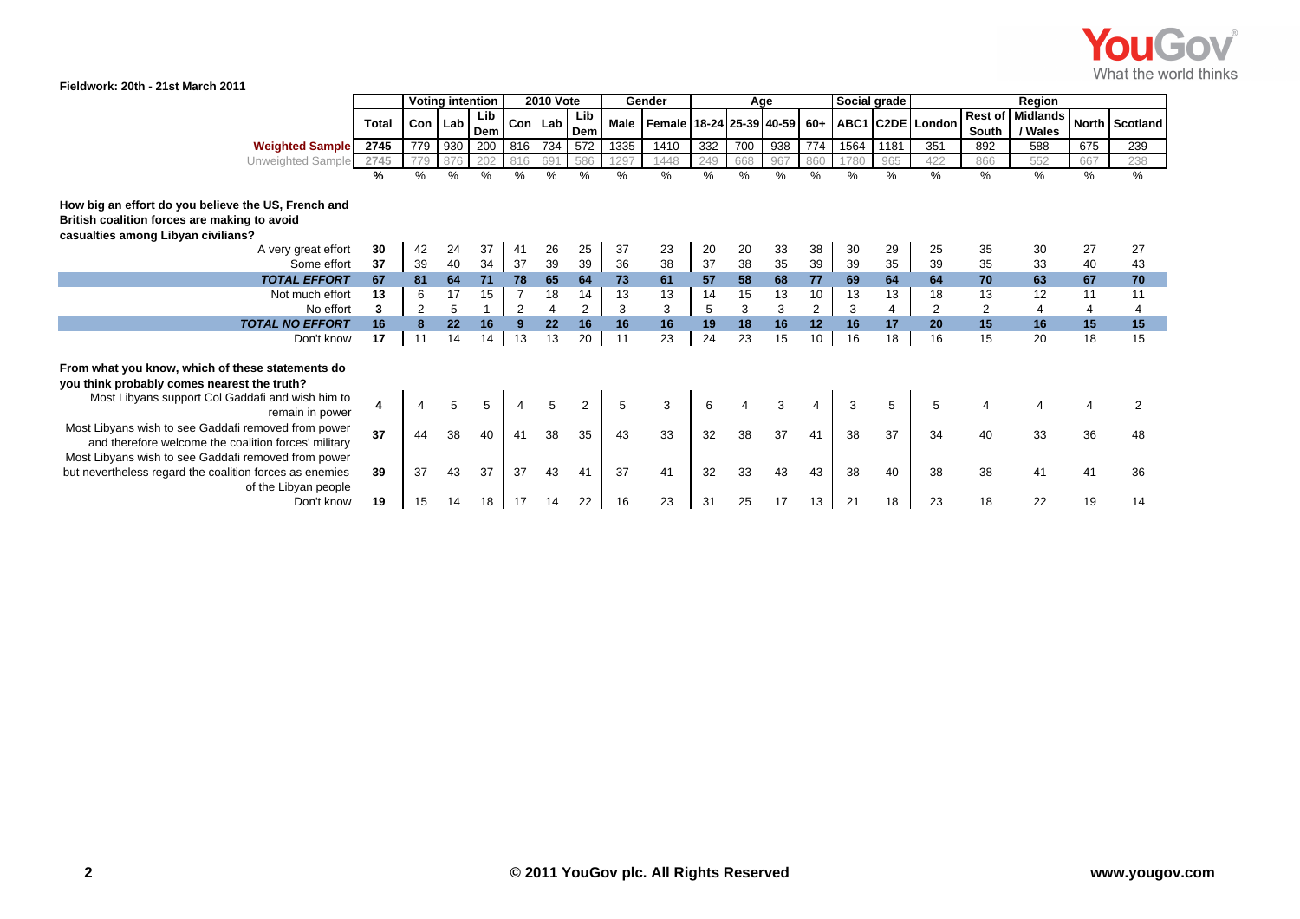

|                                                                                                                                                                    |                | <b>Voting intention</b> |      |            | <b>2010 Vote</b> |         |                | Gender |                                             |      | Age |     |                | Social grade |      | Region           |                         |                            |                |                |  |
|--------------------------------------------------------------------------------------------------------------------------------------------------------------------|----------------|-------------------------|------|------------|------------------|---------|----------------|--------|---------------------------------------------|------|-----|-----|----------------|--------------|------|------------------|-------------------------|----------------------------|----------------|----------------|--|
|                                                                                                                                                                    | <b>Total</b>   | <b>Con</b>              | Lab  | Lib<br>Dem |                  | Con Lab | Lib<br>Dem     |        | Male   Female   18-24   25-39   40-59   60+ |      |     |     |                |              |      | ABC1 C2DE London | <b>Rest of</b><br>South | <b>Midlands</b><br>/ Wales |                | North Scotland |  |
| <b>Weighted Sample</b>                                                                                                                                             | 2745           | 779                     | 930  | 200        | 816              | 734     | 572            | 1335   | 1410                                        | 332  | 700 | 938 | 774            | 1564         | 1181 | 351              | 892                     | 588                        | 675            | 239            |  |
| Unweighted Sample                                                                                                                                                  | 2745           | 779                     | 876  | 202        | 816              | 691     | 586            | 1297   | 1448                                        | 249  | 668 | 967 | 860            | 1780         | 965  | 422              | 866                     | 552                        | 667            | 238            |  |
|                                                                                                                                                                    | $\frac{9}{6}$  | $\%$                    | $\%$ | $\%$       | $\frac{0}{0}$    | $\%$    | %              | $\%$   | $\%$                                        | $\%$ | %   | %   | $\%$           | %            | %    | %                | $\%$                    | %                          | %              | %              |  |
| How big an effort do you believe the US, French and<br>British coalition forces are making to avoid<br>casualties among Libyan civilians?                          |                |                         |      |            |                  |         |                |        |                                             |      |     |     |                |              |      |                  |                         |                            |                |                |  |
| A very great effort                                                                                                                                                | 30             | 42                      | 24   | 37         | 41               | 26      | 25             | 37     | 23                                          | 20   | 20  | 33  | 38             | 30           | 29   | 25               | 35                      | 30                         | 27             | 27             |  |
| Some effort                                                                                                                                                        | 37             | 39                      | 40   | 34         | 37               | 39      | 39             | 36     | 38                                          | 37   | 38  | 35  | 39             | 39           | 35   | 39               | 35                      | 33                         | 40             | 43             |  |
| <b>TOTAL EFFORT</b>                                                                                                                                                | 67             | 81                      | 64   | 71         | 78               | 65      | 64             | 73     | 61                                          | 57   | 58  | 68  | 77             | 69           | 64   | 64               | 70                      | 63                         | 67             | 70             |  |
| Not much effort                                                                                                                                                    | 13             | 6                       | 17   | 15         | $\overline{7}$   | 18      | 14             | 13     | 13                                          | 14   | 15  | 13  | 10             | 13           | 13   | 18               | 13                      | 12                         | 11             | 11             |  |
| No effort                                                                                                                                                          | 3              | $\overline{2}$          | 5    |            | 2                | 4       | $\overline{2}$ | 3      | 3                                           | 5    | 3   | 3   | $\overline{2}$ | 3            | 4    | 2                | 2                       | 4                          | $\overline{4}$ | 4              |  |
| <b>TOTAL NO EFFORT</b>                                                                                                                                             | 16             | 8                       | 22   | 16         | 9                | 22      | 16             | 16     | 16                                          | 19   | 18  | 16  | 12             | 16           | 17   | 20               | 15                      | 16                         | 15             | 15             |  |
| Don't know                                                                                                                                                         | 17             | 11                      | 14   | 14         | 13               | 13      | 20             | 11     | 23                                          | 24   | 23  | 15  | 10             | 16           | 18   | 16               | 15                      | 20                         | 18             | 15             |  |
| From what you know, which of these statements do<br>you think probably comes nearest the truth?                                                                    |                |                         |      |            |                  |         |                |        |                                             |      |     |     |                |              |      |                  |                         |                            |                |                |  |
| Most Libyans support Col Gaddafi and wish him to<br>remain in power                                                                                                | $\overline{4}$ |                         |      | 5          | 4                | 5       |                | 5      | 3                                           | 6    |     |     | 4              |              | 5    | 5                |                         |                            |                |                |  |
| Most Libyans wish to see Gaddafi removed from power<br>and therefore welcome the coalition forces' military<br>Most Libyans wish to see Gaddafi removed from power | 37             |                         | 38   | 40         | 41               | 38      | 35             | 43     | 33                                          | 32   | 38  | 37  | 41             | 38           | 37   | 34               | 40                      | 33                         | 36             |                |  |
| but nevertheless regard the coalition forces as enemies<br>of the Libyan people                                                                                    | 39             | 37                      | 43   | 37         | 37               | 43      | 41             | 37     | 41                                          | 32   | 33  | 43  | 43             | 38           | 40   | 38               | 38                      | 41                         | 41             | 36             |  |
| Don't know                                                                                                                                                         | 19             | 15                      |      | 18         |                  |         | 22             | 16     | 23                                          | 31   | 25  | 17  | 13             | 21           | 18   | 23               | 18                      | 22                         | 19             | 14             |  |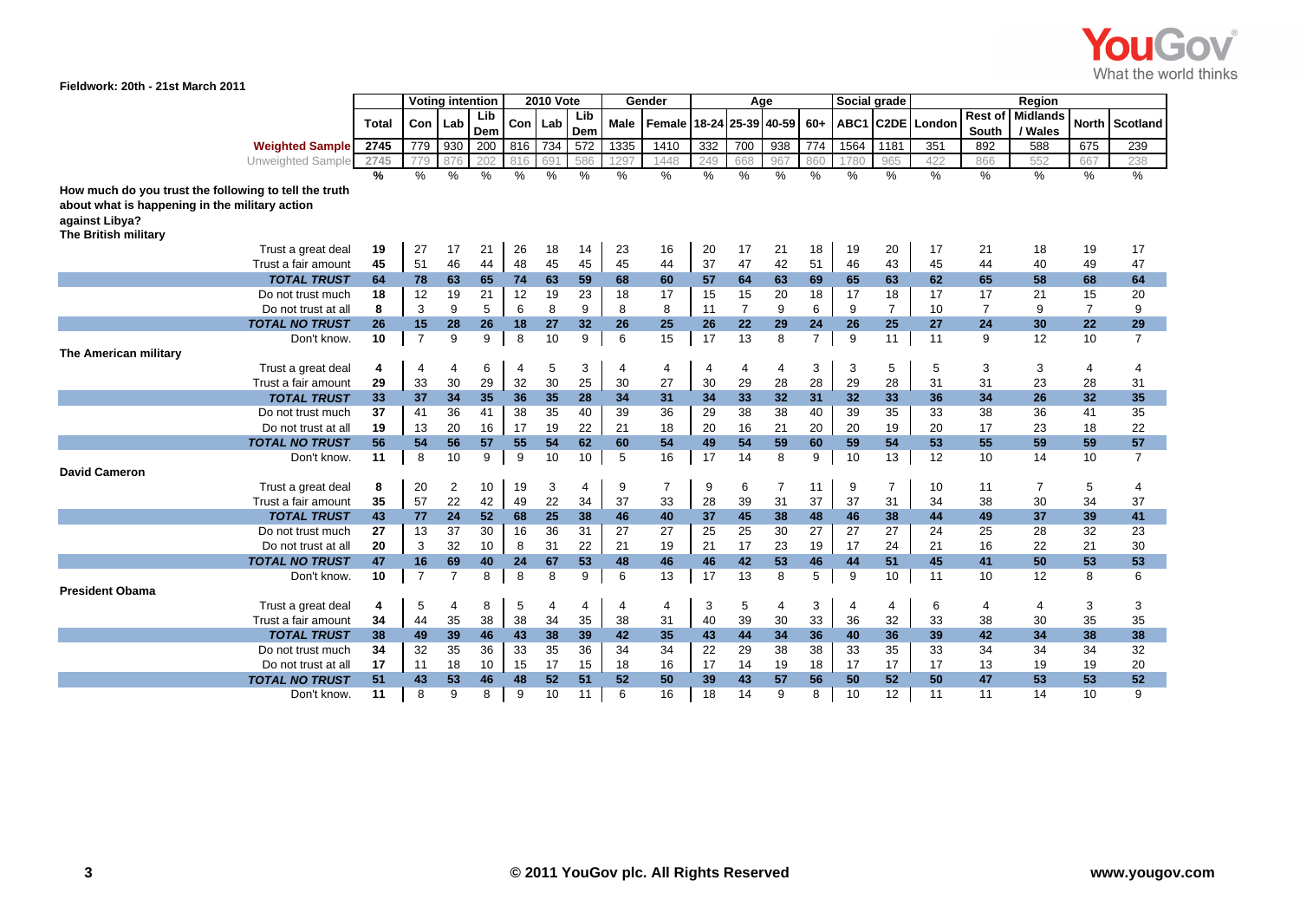

**Fieldwork: 20th - 21st March 2011**

|                                                                  |               | <b>Voting intention</b> |                | <b>2010 Vote</b> |                |          | Gender        |            |                |          | Age            |                   | Social grade   |          | Region            |               |                  |                            |                 |                 |
|------------------------------------------------------------------|---------------|-------------------------|----------------|------------------|----------------|----------|---------------|------------|----------------|----------|----------------|-------------------|----------------|----------|-------------------|---------------|------------------|----------------------------|-----------------|-----------------|
|                                                                  | <b>Total</b>  | Con                     | Lab            | Lib<br>Dem       | Con            | Lab      | Lib<br>Dem    | Male       | Female         |          |                | 18-24 25-39 40-59 | $60+$          | ABC1     | C <sub>2</sub> DE | London        | Rest of<br>South | <b>Midlands</b><br>/ Wales | <b>North</b>    | <b>Scotland</b> |
| <b>Weighted Sample</b>                                           | 2745          | 779                     | 930            | 200              | 816            | 734      | 572           | 1335       | 1410           | 332      | 700            | 938               | 774            | 1564     | 1181              | 351           | 892              | 588                        | 675             | 239             |
| Unweighted Sample                                                | 2745          | 779                     | 876            | 202              | 816            | 691      | 586           | 297        | 1448           | 249      | 668            | 967               | 860            | 1780     | 965               | 422           | 866              | 552                        | 667             | 238             |
|                                                                  | $\frac{9}{6}$ | $\%$                    | $\%$           | $\%$             | $\%$           | $\%$     | $\frac{0}{0}$ | $\%$       | $\%$           | $\%$     | $\%$           | %                 | $\frac{0}{0}$  | $\%$     | $\%$              | $\frac{9}{6}$ | $\%$             | $\frac{9}{6}$              | $\%$            | $\frac{9}{6}$   |
| How much do you trust the following to tell the truth            |               |                         |                |                  |                |          |               |            |                |          |                |                   |                |          |                   |               |                  |                            |                 |                 |
| about what is happening in the military action<br>against Libya? |               |                         |                |                  |                |          |               |            |                |          |                |                   |                |          |                   |               |                  |                            |                 |                 |
| The British military                                             |               |                         |                |                  |                |          |               |            |                |          |                |                   |                |          |                   |               |                  |                            |                 |                 |
| Trust a great deal                                               | 19            | 27                      | 17             | 21               | 26             | 18       | 14            | 23         | 16             | 20       | 17             | 21                | 18             | 19       | 20                | 17            | 21               | 18                         | 19              | 17              |
| Trust a fair amount                                              | 45            | 51                      | 46             | 44               | 48             | 45       | 45            | 45         | 44             | 37       | 47             | 42                | 51             | 46       | 43                | 45            | 44               | 40                         | 49              | 47              |
| <b>TOTAL TRUST</b>                                               | 64            | 78                      | 63             | 65               | 74             | 63       | 59            | 68         | 60             | 57       | 64             | 63                | 69             | 65       | 63                | 62            | 65               | 58                         | 68              | 64              |
| Do not trust much                                                | 18            | 12                      | 19             | 21               | 12             | 19       | 23            | 18         | 17             | 15       | 15             | 20                | 18             | 17       | 18                | 17            | 17               | 21                         | 15              | 20              |
| Do not trust at all                                              | 8             | 3                       | 9              | 5                | 6              | 8        | 9             | 8          | 8              | 11       | $\overline{7}$ | 9                 | 6              | 9        | $\overline{7}$    | 10            | $\overline{7}$   | 9                          | $\overline{7}$  | 9               |
| <b>TOTAL NO TRUST</b>                                            | 26            | 15                      | 28             | 26               | 18             | 27       | 32            | 26         | 25             | 26       | 22             | 29                | 24             | 26       | 25                | 27            | 24               | 30                         | 22              | 29              |
| Don't know.                                                      | 10            | $\overline{7}$          | 9              | 9                | 8              | 10       | 9             | 6          | 15             | 17       | 13             | 8                 | $\overline{7}$ | 9        | 11                | 11            | 9                | 12                         | 10              | $\overline{7}$  |
| The American military                                            |               |                         |                |                  |                |          |               |            |                |          |                |                   |                |          |                   |               |                  |                            |                 |                 |
| Trust a great deal                                               | 4             | $\overline{4}$          | $\overline{4}$ | 6                | $\overline{4}$ | 5        | 3             | 4          | 4              | 4        | 4              | $\overline{4}$    | 3              | 3        | 5                 | 5             | 3                | 3                          | 4               | 4               |
| Trust a fair amount                                              | 29            | 33                      | 30             | 29               | 32             | 30       | 25            | 30         | 27             | 30       | 29             | 28                | 28             | 29       | 28                | 31            | 31               | 23                         | 28              | 31              |
| <b>TOTAL TRUST</b>                                               | 33            | 37                      | 34             | 35               | 36             | 35       | 28            | 34         | 31             | 34       | 33             | 32                | 31             | 32       | 33                | 36            | 34               | 26                         | 32 <sub>2</sub> | 35              |
| Do not trust much                                                | 37            | 41                      | 36             | 41               | 38             | 35       | 40            | 39         | 36             | 29       | 38             | 38                | 40             | 39       | 35                | 33            | 38               | 36                         | 41              | 35              |
| Do not trust at all                                              | 19            | 13                      | 20             | 16               | 17             | 19       | 22            | 21         | 18             | 20       | 16             | 21                | 20             | 20       | 19                | 20            | 17               | 23                         | 18              | 22              |
| <b>TOTAL NO TRUST</b>                                            | 56            | 54                      | 56             | 57               | 55             | 54       | 62            | 60         | 54             | 49       | 54             | 59                | 60             | 59       | 54                | 53            | 55               | 59                         | 59              | 57              |
| Don't know.                                                      | 11            | 8                       | 10             | 9                | 9              | 10       | 10            | $\sqrt{5}$ | 16             | 17       | 14             | 8                 | 9              | 10       | 13                | 12            | 10               | 14                         | 10              | $\overline{7}$  |
| <b>David Cameron</b>                                             |               |                         |                |                  |                |          |               |            |                |          |                |                   |                |          |                   |               |                  |                            |                 |                 |
| Trust a great deal                                               | 8             | 20                      | 2              | 10               | 19             | 3        | 4             | 9          | $\overline{7}$ | 9        | 6              | 7                 | 11             | 9        | $\overline{7}$    | 10            | 11               | 7                          | 5               | 4               |
| Trust a fair amount                                              | 35            | 57                      | 22             | 42               | 49             | 22       | 34            | 37         | 33             | 28       | 39             | 31                | 37             | 37       | 31                | 34            | 38               | 30                         | 34              | 37              |
| <b>TOTAL TRUST</b>                                               | 43            | 77                      | 24             | 52               | 68             | 25       | 38            | 46         | 40             | 37       | 45             | 38                | 48             | 46       | 38                | 44            | 49               | 37                         | 39              | 41              |
| Do not trust much                                                | 27            | 13                      | 37             | 30               | 16             | 36       | 31            | 27         | 27             | 25       | 25             | 30                | 27             | 27       | 27                | 24            | 25               | 28                         | 32              | 23              |
| Do not trust at all                                              | 20            | 3                       | 32             | 10               | 8              | 31       | 22            | 21         | 19             | 21       | 17             | 23                | 19             | 17       | 24                | 21            | 16               | 22                         | 21              | 30              |
| <b>TOTAL NO TRUST</b>                                            | 47            | 16                      | 69             | 40               | 24             | 67       | 53            | 48         | 46             | 46       | 42             | 53                | 46             | 44       | 51                | 45            | 41               | 50                         | 53              | 53              |
| Don't know.                                                      | 10            | $\overline{7}$          | $\overline{7}$ | 8                | 8              | 8        | 9             | 6          | 13             | 17       | 13             | 8                 | 5              | 9        | 10                | 11            | 10               | 12                         | 8               | 6               |
| <b>President Obama</b>                                           |               |                         |                |                  |                |          |               |            |                |          |                |                   |                |          |                   |               |                  |                            |                 |                 |
| Trust a great deal                                               | 4             | 5                       | $\overline{4}$ | 8                | 5              | 4        | 4             | 4          | 4              | 3        | 5              | $\overline{4}$    | 3              | 4        | $\overline{4}$    | 6             | 4                | $\overline{4}$             | 3               | 3               |
| Trust a fair amount                                              | 34            | 44                      | 35             | 38<br>46         | 38<br>43       | 34<br>38 | 35            | 38<br>42   | 31<br>35       | 40<br>43 | 39<br>44       | 30<br>34          | 33<br>36       | 36<br>40 | 32<br>36          | 33<br>39      | 38<br>42         | 30<br>34                   | 35<br>38        | 35<br>38        |
| <b>TOTAL TRUST</b>                                               | 38            | 49                      | 39             |                  | 33             |          | 39            |            |                |          |                |                   |                |          |                   |               |                  |                            |                 |                 |
| Do not trust much<br>Do not trust at all                         | 34<br>17      | 32<br>11                | 35<br>18       | 36<br>10         | 15             | 35<br>17 | 36<br>15      | 34<br>18   | 34<br>16       | 22<br>17 | 29<br>14       | 38<br>19          | 38<br>18       | 33<br>17 | 35<br>17          | 33<br>17      | 34<br>13         | 34<br>19                   | 34<br>19        | 32<br>20        |
| <b>TOTAL NO TRUST</b>                                            | 51            | 43                      | 53             | 46               | 48             | 52       | 51            | 52         | 50             | 39       | 43             | 57                | 56             | 50       | 52                | 50            | 47               | 53                         | 53              | 52              |
| Don't know.                                                      | 11            | 8                       | 9              | 8                | 9              | 10       | 11            | 6          | 16             | 18       | 14             | 9                 | 8              | 10       | 12                | 11            | 11               | 14                         | 10              | 9               |
|                                                                  |               |                         |                |                  |                |          |               |            |                |          |                |                   |                |          |                   |               |                  |                            |                 |                 |